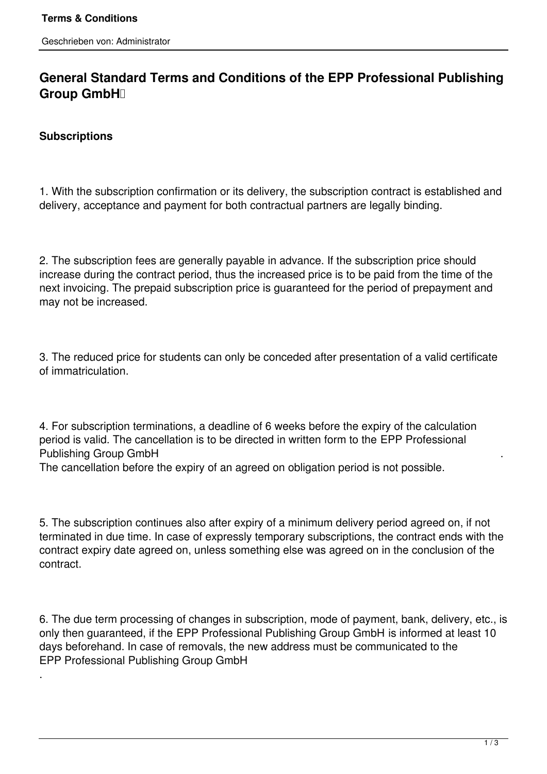# **General Standard Terms and Conditions of the EPP Professional Publishing Group GmbH**

## **Subscriptions**

.

1. With the subscription confirmation or its delivery, the subscription contract is established and delivery, acceptance and payment for both contractual partners are legally binding.

2. The subscription fees are generally payable in advance. If the subscription price should increase during the contract period, thus the increased price is to be paid from the time of the next invoicing. The prepaid subscription price is guaranteed for the period of prepayment and may not be increased.

3. The reduced price for students can only be conceded after presentation of a valid certificate of immatriculation.

4. For subscription terminations, a deadline of 6 weeks before the expiry of the calculation period is valid. The cancellation is to be directed in written form to the EPP Professional Publishing Group GmbH .

The cancellation before the expiry of an agreed on obligation period is not possible.

5. The subscription continues also after expiry of a minimum delivery period agreed on, if not terminated in due time. In case of expressly temporary subscriptions, the contract ends with the contract expiry date agreed on, unless something else was agreed on in the conclusion of the contract.

6. The due term processing of changes in subscription, mode of payment, bank, delivery, etc., is only then guaranteed, if the EPP Professional Publishing Group GmbH is informed at least 10 days beforehand. In case of removals, the new address must be communicated to the EPP Professional Publishing Group GmbH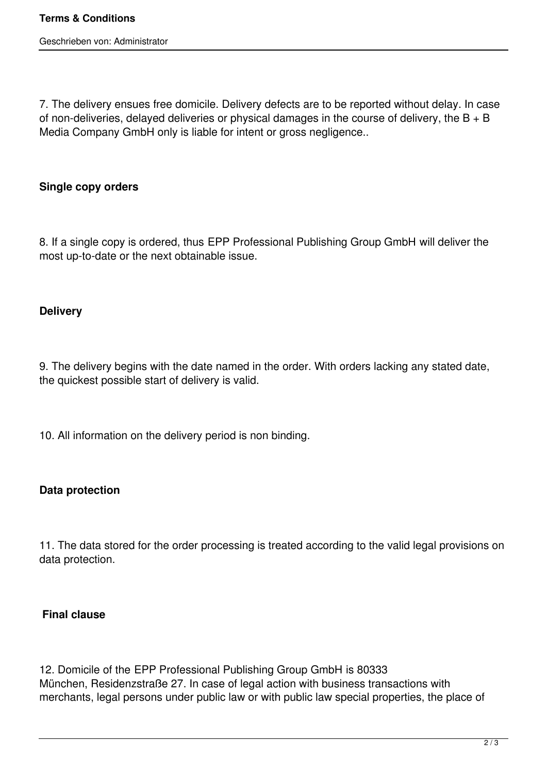7. The delivery ensues free domicile. Delivery defects are to be reported without delay. In case of non-deliveries, delayed deliveries or physical damages in the course of delivery, the B + B Media Company GmbH only is liable for intent or gross negligence..

### **Single copy orders**

8. If a single copy is ordered, thus EPP Professional Publishing Group GmbH will deliver the most up-to-date or the next obtainable issue.

#### **Delivery**

9. The delivery begins with the date named in the order. With orders lacking any stated date, the quickest possible start of delivery is valid.

10. All information on the delivery period is non binding.

#### **Data protection**

11. The data stored for the order processing is treated according to the valid legal provisions on data protection.

#### **Final clause**

12. Domicile of the EPP Professional Publishing Group GmbH is 80333 München, Residenzstraße 27. In case of legal action with business transactions with merchants, legal persons under public law or with public law special properties, the place of